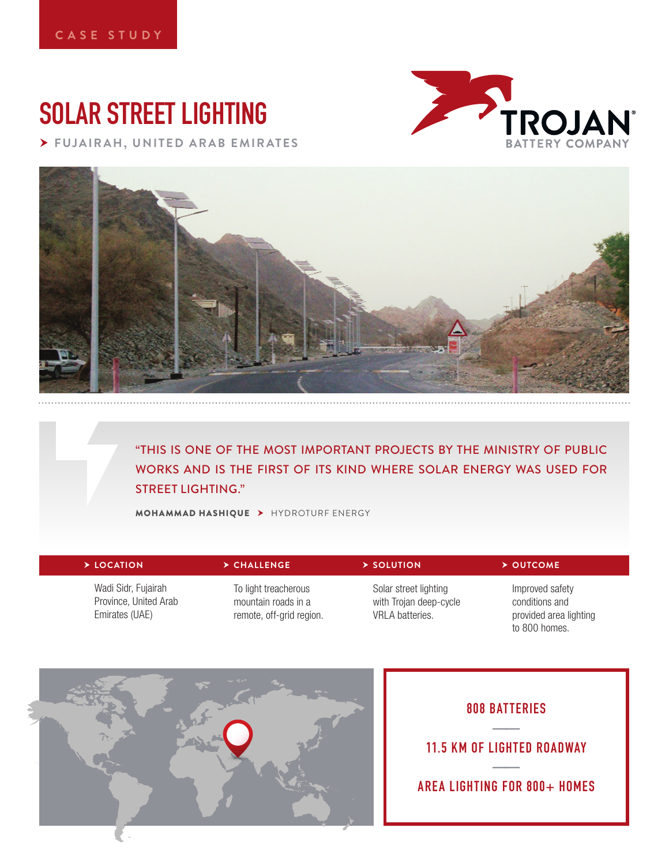# **SOLAR STREET LIGHTING**

 **FUJAIRAH, UNITED ARAB EMIRATES**





"THIS IS ONE OF THE MOST IMPORTANT PROJECTS BY THE MINISTRY OF PUBLIC WORKS AND IS THE FIRST OF ITS KIND WHERE SOLAR ENERGY WAS USED FOR STREET LIGHTING."

MOHAMMAD HASHIQUE HYDROTURF ENERGY

| > LOCATION                                                     | $\triangleright$ CHALLENGE                                              | $\triangleright$ SOLUTION                                                 | $\triangleright$ OUTCOME                                                     |
|----------------------------------------------------------------|-------------------------------------------------------------------------|---------------------------------------------------------------------------|------------------------------------------------------------------------------|
| Wadi Sidr, Fujairah<br>Province, United Arab<br>Emirates (UAE) | To light treacherous<br>mountain roads in a<br>remote, off-grid region. | Solar street lighting<br>with Trojan deep-cycle<br><b>VRLA</b> batteries. | Improved safety<br>conditions and<br>provided area lighting<br>to 800 homes. |